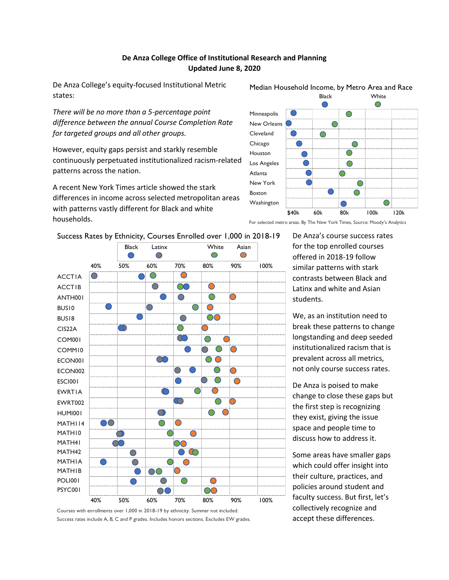## **De Anza College Office of Institutional Research and Planning Updated June 8, 2020**

De Anza College's equity-focused Institutional Metric states:

*There will be no more than a 5-percentage point difference between the annual Course Completion Rate for targeted groups and all other groups.* 

However, equity gaps persist and starkly resemble continuously perpetuated institutionalized racism-related patterns across the nation.

A recent New York Times article showed the stark differences in income across selected metropolitan areas with patterns vastly different for Black and white households.



## Median Household Income, by Metro Area and Race

For selected metro areas. By The New York Times, Source: Moody's Analytics



Success Rates by Ethnicity, Courses Enrolled over 1,000 in 2018-19

De Anza's course success rates for the top enrolled courses offered in 2018-19 follow similar patterns with stark contrasts between Black and Latinx and white and Asian students.

We, as an institution need to break these patterns to change longstanding and deep seeded institutionalized racism that is prevalent across all metrics, not only course success rates.

De Anza is poised to make change to close these gaps but the first step is recognizing they exist, giving the issue space and people time to discuss how to address it.

Some areas have smaller gaps which could offer insight into their culture, practices, and policies around student and faculty success. But first, let's collectively recognize and accept these differences.

Courses with enrollments over 1,000 in 2018-19 by ethnicity. Summer not included. Success rates include A, B, C and P grades. Includes honors sections. Excludes EW grades.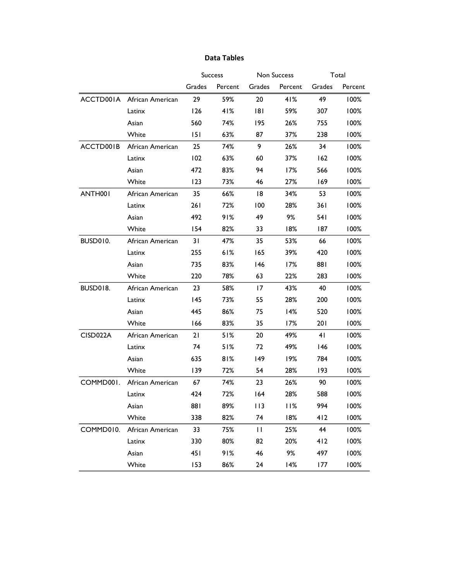## Grades Percent Grades Percent Grades Percent ACCTD001A African American 29 59% 20 41% 49 100% Latinx 126 41% 181 59% 307 100% Asian 560 74% 195 26% 755 100% White 151 63% 87 37% 238 100% ACCTD001B African American 25 74% 9 26% 34 100% Latinx 102 63% 60 37% 162 100% Asian 472 83% 94 17% 566 100% White 123 73% 46 27% 169 100% ANTH001 African American 35 66% 18 34% 53 100% Latinx 261 72% 100 28% 361 100% Asian 492 91% 49 9% 541 100% White 154 82% 33 18% 187 100% BUSD010. African American 31 47% 35 53% 66 100% Latinx 255 61% 165 39% 420 100% Asian 735 83% 146 17% 881 100% White 220 78% 63 22% 283 100% BUSD018. African American 23 58% 17 43% 40 100% Latinx 145 73% 55 28% 200 100% Asian 445 86% 75 14% 520 100% White 166 83% 35 17% 201 100% CISD022A African American 21 51% 20 49% 41 100% Latinx 74 51% 72 49% 146 100% Asian 635 81% 149 19% 784 100% White 139 72% 54 28% 193 100% COMMD001. African American 67 74% 23 26% 90 100% Latinx 424 72% 164 28% 588 100% Asian 881 89% 113 11% 994 100% White 338 82% 74 18% 412 100% COMMD010. African American 33 75% 11 25% 44 100% Latinx 330 80% 82 20% 412 100% Asian 451 91% 46 9% 497 100% White 153 86% 24 14% 177 100% Success Non Success Total

## **Data Tables**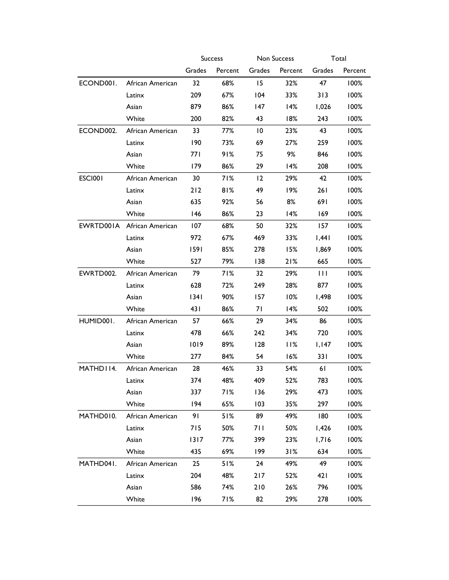|                        |                  | <b>Success</b> |         | Non Success     |            | Total        |         |
|------------------------|------------------|----------------|---------|-----------------|------------|--------------|---------|
|                        |                  | Grades         | Percent | Grades          | Percent    | Grades       | Percent |
| ECOND <sub>001</sub> . | African American | 32             | 68%     | 15              | 32%        | 47           | 100%    |
|                        | Latinx           | 209            | 67%     | 104             | 33%        | 313          | 100%    |
|                        | Asian            | 879            | 86%     | 147             | 14%        | 1,026        | 100%    |
|                        | White            | 200            | 82%     | 43              | 18%        | 243          | 100%    |
| ECOND002.              | African American | 33             | 77%     | $\overline{10}$ | 23%        | 43           | 100%    |
|                        | Latinx           | 190            | 73%     | 69              | 27%        | 259          | 100%    |
|                        | Asian            | 77 I           | 91%     | 75              | 9%         | 846          | 100%    |
|                        | White            | 179            | 86%     | 29              | 14%        | 208          | $100\%$ |
| <b>ESCI001</b>         | African American | 30             | 71%     | 12              | 29%        | 42           | 100%    |
|                        | Latinx           | 212            | 81%     | 49              | 19%        | 261          | 100%    |
|                        | Asian            | 635            | 92%     | 56              | 8%         | 691          | 100%    |
|                        | White            | 146            | 86%     | 23              | 14%        | 169          | 100%    |
| EWRTD001A              | African American | 107            | 68%     | 50              | 32%        | 157          | $100\%$ |
|                        | Latinx           | 972            | 67%     | 469             | 33%        | 1,441        | 100%    |
|                        | Asian            | 1591           | 85%     | 278             | 15%        | 1,869        | 100%    |
|                        | White            | 527            | 79%     | 138             | 21%        | 665          | 100%    |
| EWRTD002.              | African American | 79             | 71%     | 32              | 29%        | $\mathbf{H}$ | 100%    |
|                        | Latinx           | 628            | 72%     | 249             | 28%        | 877          | 100%    |
|                        | Asian            | 1341           | 90%     | 157             | 10%        | 1,498        | 100%    |
|                        | White            | 431            | 86%     | 71              | 14%        | 502          | 100%    |
| HUMID001.              | African American | 57             | 66%     | 29              | 34%        | 86           | 100%    |
|                        | Latinx           | 478            | 66%     | 242             | 34%        | 720          | 100%    |
|                        | Asian            | 1019           | 89%     | 128             | <b>11%</b> | 1,147        | 100%    |
|                        | White            | 277            | 84%     | 54              | 16%        | 331          | 100%    |
| MATHD114.              | African American | 28             | 46%     | 33              | 54%        | 61           | 100%    |
|                        | Latinx           | 374            | 48%     | 409             | 52%        | 783          | 100%    |
|                        | Asian            | 337            | 71%     | 136             | 29%        | 473          | 100%    |
|                        | White            | 194            | 65%     | 103             | 35%        | 297          | 100%    |
| MATHD010.              | African American | 91             | 51%     | 89              | 49%        | 180          | 100%    |
|                        | Latinx           | 715            | 50%     | 711             | 50%        | 1,426        | 100%    |
|                        | Asian            | $1317$         | 77%     | 399             | 23%        | 1,716        | 100%    |
|                        | White            | 435            | 69%     | 199             | 31%        | 634          | 100%    |
| MATHD041.              | African American | 25             | 51%     | 24              | 49%        | 49           | 100%    |
|                        | Latinx           | 204            | 48%     | 217             | 52%        | 421          | 100%    |
|                        | Asian            | 586            | 74%     | 210             | 26%        | 796          | 100%    |
|                        | White            | 196            | 71%     | 82              | 29%        | 278          | 100%    |